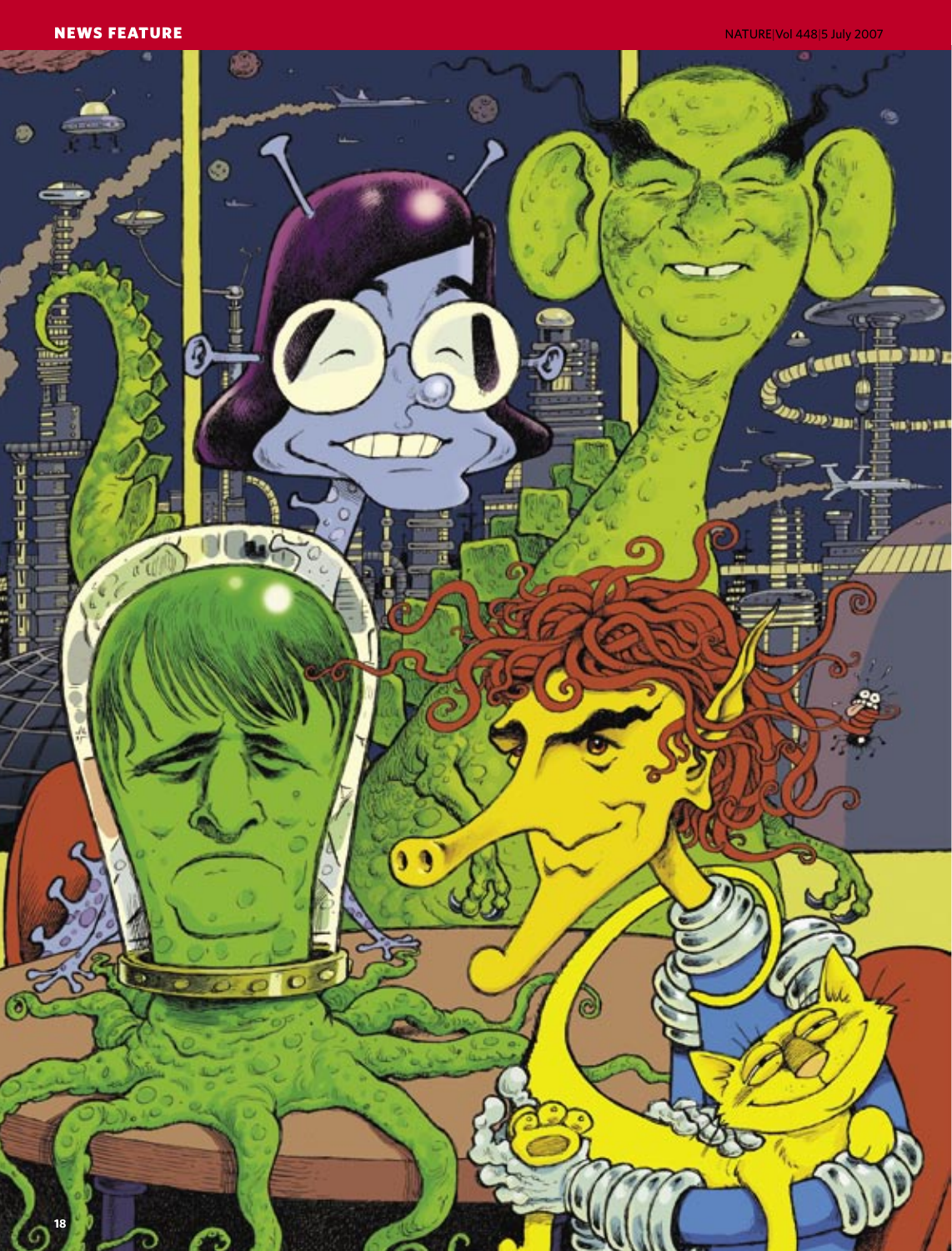**NEWS FEATURE** NATURE NATURE And the set of the set of the set of the set of the set of the set of the set of the set of the set of the set of the set of the set of the set of the set of the set of the set of the set of th

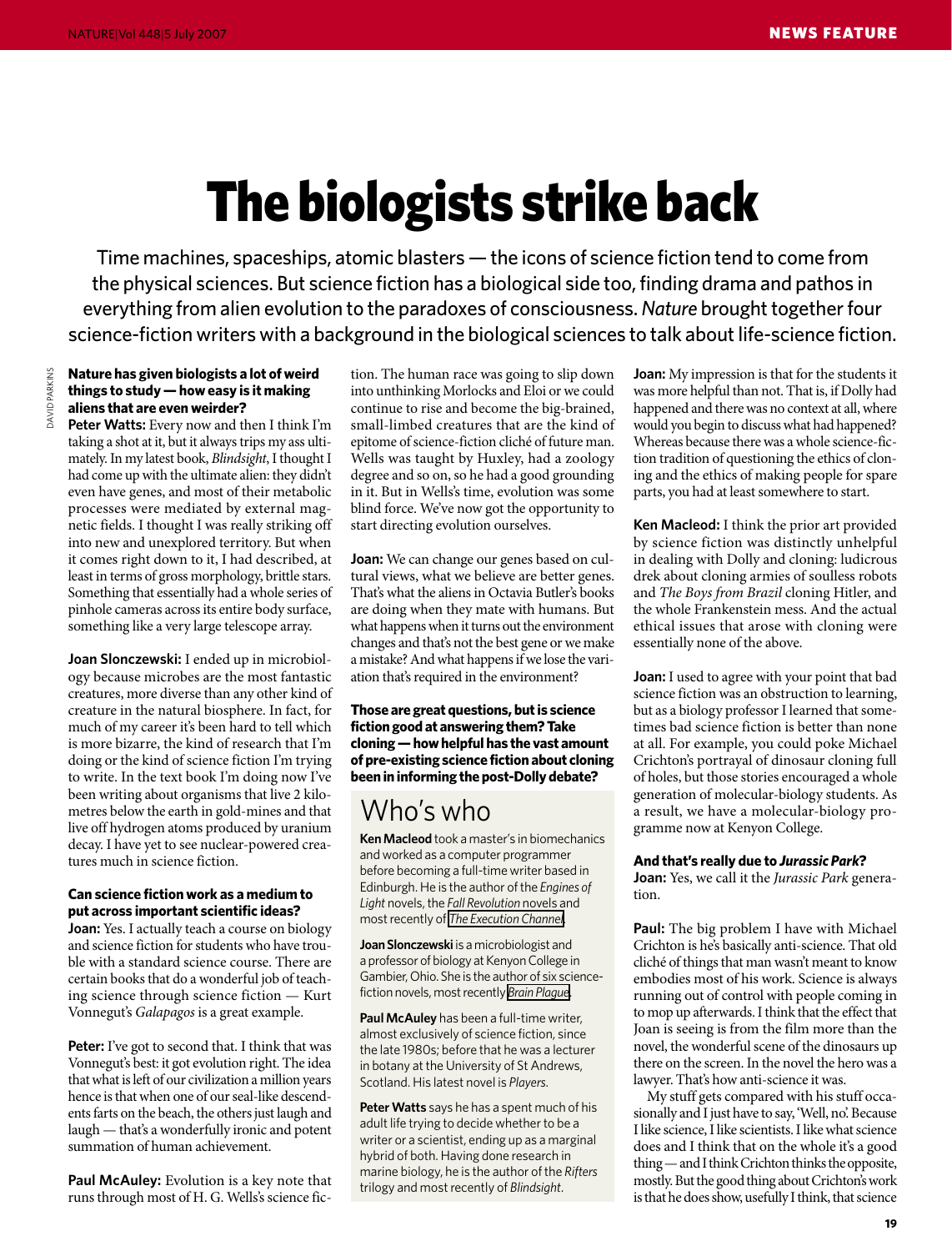# The biologists strike back

Time machines, spaceships, atomic blasters — the icons of science fiction tend to come from the physical sciences. But science fiction has a biological side too, finding drama and pathos in everything from alien evolution to the paradoxes of consciousness. *Nature* brought together four science-fiction writers with a background in the biological sciences to talk about life-science fiction.

### **Nature has given biologists a lot of weird things to study — how easy is it making aliens that are even weirder?**

**Peter Watts:** Every now and then I think I'm taking a shot at it, but it always trips my ass ultimately. In my latest book, *Blindsight*, I thought I had come up with the ultimate alien: they didn't even have genes, and most of their metabolic processes were mediated by external magnetic fields. I thought I was really striking off into new and unexplored territory. But when it comes right down to it, I had described, at least in terms of gross morphology, brittle stars. Something that essentially had a whole series of pinhole cameras across its entire body surface, something like a very large telescope array.

**Joan Slonczewski:** I ended up in microbiology because microbes are the most fantastic creatures, more diverse than any other kind of creature in the natural biosphere. In fact, for much of my career it's been hard to tell which is more bizarre, the kind of research that I'm doing or the kind of science fiction I'm trying to write. In the text book I'm doing now I've been writing about organisms that live 2 kilometres below the earth in gold-mines and that live off hydrogen atoms produced by uranium decay. I have yet to see nuclear-powered creatures much in science fiction.

### **Can science fiction work as a medium to put across important scientific ideas?**

**Joan:** Yes. I actually teach a course on biology and science fiction for students who have trouble with a standard science course. There are certain books that do a wonderful job of teaching science through science fiction — Kurt Vonnegut's *Galapagos* is a great example.

Peter: I've got to second that. I think that was Vonnegut's best: it got evolution right. The idea that what is left of our civilization a million years hence is that when one of our seal-like descendents farts on the beach, the others just laugh and laugh — that's a wonderfully ironic and potent summation of human achievement.

**Paul McAuley:** Evolution is a key note that runs through most of H. G. Wells's science fic-

tion. The human race was going to slip down into unthinking Morlocks and Eloi or we could continue to rise and become the big-brained, small-limbed creatures that are the kind of epitome of science-fiction cliché of future man. Wells was taught by Huxley, had a zoology degree and so on, so he had a good grounding in it. But in Wells's time, evolution was some blind force. We've now got the opportunity to start directing evolution ourselves.

**Joan:** We can change our genes based on cultural views, what we believe are better genes. That's what the aliens in Octavia Butler's books are doing when they mate with humans. But what happens when it turns out the environment changes and that's not the best gene or we make a mistake? And what happens if we lose the variation that's required in the environment?

**Those are great questions, but is science fiction good at answering them? Take cloning — how helpful has the vast amount of pre-existing science fiction about cloning been in informing the post-Dolly debate?**

## Who's who

**Ken Macleod** took a master's in biomechanics and worked as a computer programmer before becoming a full-time writer based in Edinburgh. He is the author of the *Engines of Light* novels, the *Fall Revolution* novels and most recently of *[The Execution Channel](http://www.boingboing.net/2007/02/09/ken_macleods_executi.html)*.

**Joan Slonczewski** is a microbiologist and a professor of biology at Kenyon College in Gambier, Ohio. She is the author of six sciencefiction novels, most recently *[Brain Plague](http://www.challengingdestiny.com/reviews/brainplague.htm)*.

**Paul McAuley** has been a full-time writer, almost exclusively of science fiction, since the late 1980s; before that he was a lecturer in botany at the University of St Andrews, Scotland. His latest novel is *Players*.

**Peter Watts** says he has a spent much of his adult life trying to decide whether to be a writer or a scientist, ending up as a marginal hybrid of both. Having done research in marine biology, he is the author of the *Rifters* trilogy and most recently of *Blindsight*.

**Joan:** My impression is that for the students it was more helpful than not. That is, if Dolly had happened and there was no context at all, where would you begin to discuss what had happened? Whereas because there was a whole science-fiction tradition of questioning the ethics of cloning and the ethics of making people for spare parts, you had at least somewhere to start.

**Ken Macleod:** I think the prior art provided by science fiction was distinctly unhelpful in dealing with Dolly and cloning: ludicrous drek about cloning armies of soulless robots and *The Boys from Brazil* cloning Hitler, and the whole Frankenstein mess. And the actual ethical issues that arose with cloning were essentially none of the above.

**Joan:** I used to agree with your point that bad science fiction was an obstruction to learning, but as a biology professor I learned that sometimes bad science fiction is better than none at all. For example, you could poke Michael Crichton's portrayal of dinosaur cloning full of holes, but those stories encouraged a whole generation of molecular-biology students. As a result, we have a molecular-biology programme now at Kenyon College.

#### **And that's really due to** *Jurassic Park***?**

**Joan:** Yes, we call it the *Jurassic Park* generation.

**Paul:** The big problem I have with Michael Crichton is he's basically anti-science. That old cliché of things that man wasn't meant to know embodies most of his work. Science is always running out of control with people coming in to mop up afterwards. I think that the effect that Joan is seeing is from the film more than the novel, the wonderful scene of the dinosaurs up there on the screen. In the novel the hero was a lawyer. That's how anti-science it was.

My stuff gets compared with his stuff occasionally and I just have to say, 'Well, no'. Because I like science, I like scientists. I like what science does and I think that on the whole it's a good thing — and I think Crichton thinks the opposite, mostly. But the good thing about Crichton's work is that he does show, usefully I think, that science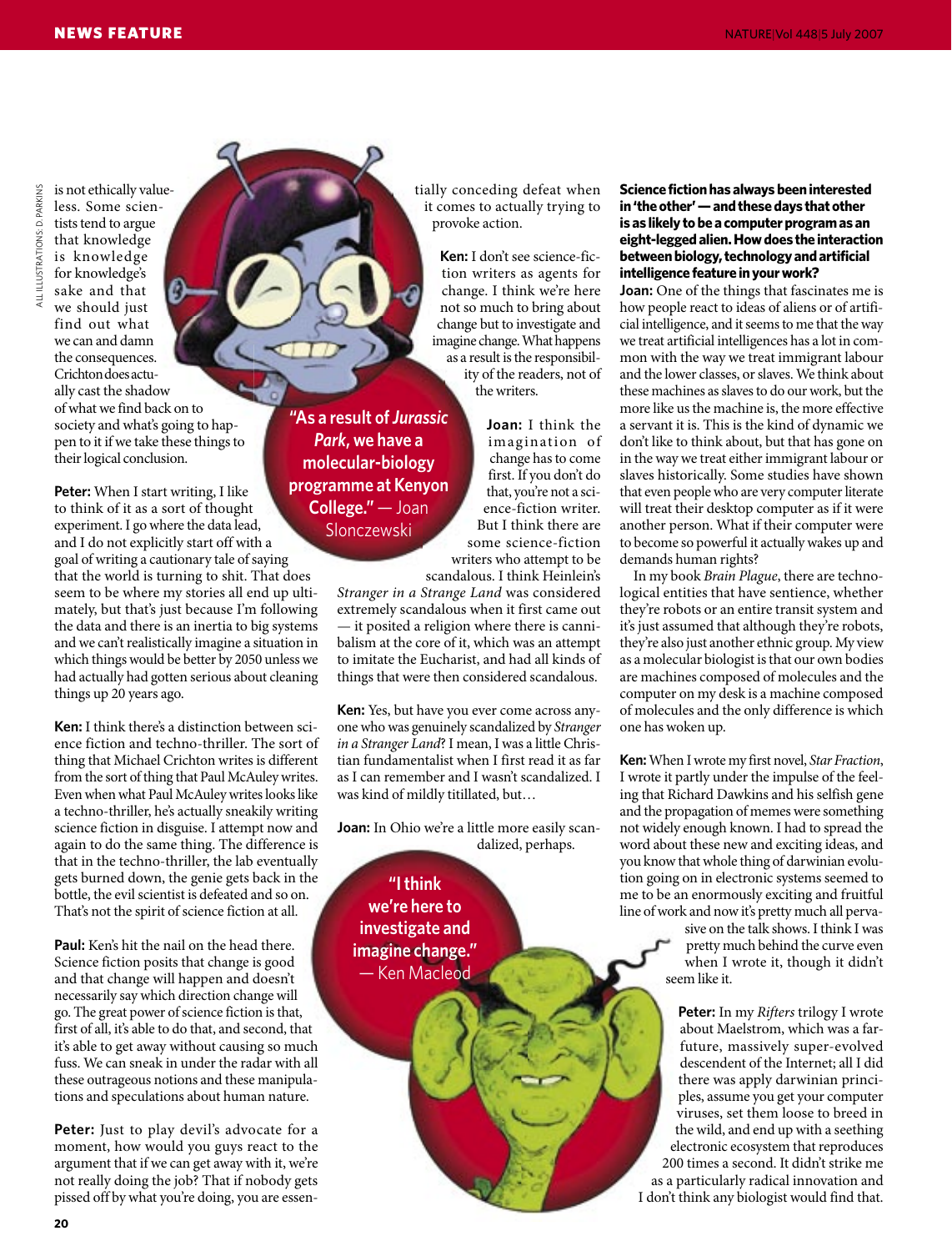is not ethically value-ALL ILLUSTRATIONS: D. PARKINS ALL ILLUSTRATIONS: D. PARKINS less. Some scientists tend to argue that knowledge

is knowledge for knowledge's sake and that we should just find out what we can and damn the consequences. Crichton does actually cast the shadow of what we find back on to society and what's going to happen to it if we take these things to their logical conclusion.

**Peter:** When I start writing, I like to think of it as a sort of thought experiment. I go where the data lead, and I do not explicitly start off with a goal of writing a cautionary tale of saying that the world is turning to shit. That does seem to be where my stories all end up ultimately, but that's just because I'm following the data and there is an inertia to big systems and we can't realistically imagine a situation in which things would be better by 2050 unless we had actually had gotten serious about cleaning things up 20 years ago. **programme at Kenyon College."** — Joan

**Ken:** I think there's a distinction between science fiction and techno-thriller. The sort of thing that Michael Crichton writes is different from the sort of thing that Paul McAuley writes. Even when what Paul McAuley writes looks like a techno-thriller, he's actually sneakily writing science fiction in disguise. I attempt now and again to do the same thing. The difference is that in the techno-thriller, the lab eventually gets burned down, the genie gets back in the bottle, the evil scientist is defeated and so on. That's not the spirit of science fiction at all.

**Paul:** Ken's hit the nail on the head there. Science fiction posits that change is good and that change will happen and doesn't necessarily say which direction change will go. The great power of science fiction is that, first of all, it's able to do that, and second, that it's able to get away without causing so much fuss. We can sneak in under the radar with all these outrageous notions and these manipulations and speculations about human nature.

**Peter:** Just to play devil's advocate for a moment, how would you guys react to the argument that if we can get away with it, we're not really doing the job? That if nobody gets pissed off by what you're doing, you are essentially conceding defeat when it comes to actually trying to provoke action.

**Ken:** I don't see science-fiction writers as agents for change. I think we're here not so much to bring about change but to investigate and imagine change. What happens as a result is the responsibil-

ity of the readers, not of the writers.

**Joan:** I think the imagination of change has to come first. If you don't do that, you're not a science-fiction writer. But I think there are some science-fiction writers who attempt to be

scandalous. I think Heinlein's *Stranger in a Strange Land* was considered extremely scandalous when it first came out — it posited a religion where there is cannibalism at the core of it, which was an attempt to imitate the Eucharist, and had all kinds of

**Ken:** Yes, but have you ever come across anyone who was genuinely scandalized by *Stranger in a Stranger Land*? I mean, I was a little Christian fundamentalist when I first read it as far as I can remember and I wasn't scandalized. I was kind of mildly titillated, but…

things that were then considered scandalous.

**Joan:** In Ohio we're a little more easily scandalized, perhaps.

**"I think we're here to investigate and imagine change."**  — Ken Macleod

**"As a result of** *Jurassic Park***, we have a molecular-biology** 

Slonczewski

### **Science fiction has always been interested in 'the other' — and these days that other is as likely to be a computer program as an eight-legged alien. How does the interaction between biology, technology and artificial intelligence feature in your work?**

**Joan:** One of the things that fascinates me is how people react to ideas of aliens or of artificial intelligence, and it seems to me that the way we treat artificial intelligences has a lot in common with the way we treat immigrant labour and the lower classes, or slaves. We think about these machines as slaves to do our work, but the more like us the machine is, the more effective a servant it is. This is the kind of dynamic we don't like to think about, but that has gone on in the way we treat either immigrant labour or slaves historically. Some studies have shown that even people who are very computer literate will treat their desktop computer as if it were another person. What if their computer were to become so powerful it actually wakes up and demands human rights?

In my book *Brain Plague*, there are technological entities that have sentience, whether they're robots or an entire transit system and it's just assumed that although they're robots, they're also just another ethnic group. My view as a molecular biologist is that our own bodies are machines composed of molecules and the computer on my desk is a machine composed of molecules and the only difference is which one has woken up.

**Ken:** When I wrote my first novel, *Star Fraction*, I wrote it partly under the impulse of the feeling that Richard Dawkins and his selfish gene and the propagation of memes were something not widely enough known. I had to spread the word about these new and exciting ideas, and you know that whole thing of darwinian evolution going on in electronic systems seemed to me to be an enormously exciting and fruitful line of work and now it's pretty much all perva-

sive on the talk shows. I think I was pretty much behind the curve even when I wrote it, though it didn't seem like it.

**Peter:** In my *Rifters* trilogy I wrote about Maelstrom, which was a farfuture, massively super-evolved descendent of the Internet; all I did there was apply darwinian principles, assume you get your computer viruses, set them loose to breed in the wild, and end up with a seething electronic ecosystem that reproduces 200 times a second. It didn't strike me as a particularly radical innovation and I don't think any biologist would find that.